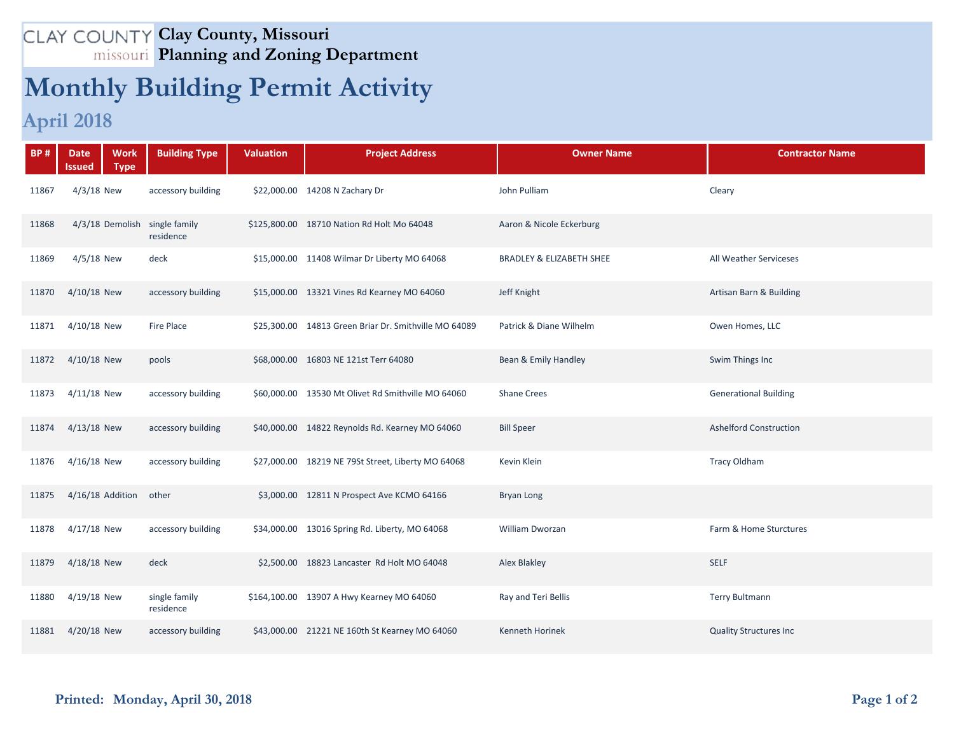## **Clay County, Missouri Planning and Zoning Department**

## **Monthly Building Permit Activity**

## **April 2018**

| <b>BP#</b> | <b>Date</b><br><b>Work</b><br><b>Type</b><br>Issued | <b>Building Type</b>       | <b>Valuation</b> | <b>Project Address</b>                                | <b>Owner Name</b>                   | <b>Contractor Name</b>        |
|------------|-----------------------------------------------------|----------------------------|------------------|-------------------------------------------------------|-------------------------------------|-------------------------------|
| 11867      | $4/3/18$ New                                        | accessory building         |                  | \$22,000.00 14208 N Zachary Dr                        | John Pulliam                        | Cleary                        |
| 11868      | 4/3/18 Demolish single family                       | residence                  |                  | \$125,800.00 18710 Nation Rd Holt Mo 64048            | Aaron & Nicole Eckerburg            |                               |
| 11869      | $4/5/18$ New                                        | deck                       |                  | \$15,000.00 11408 Wilmar Dr Liberty MO 64068          | <b>BRADLEY &amp; ELIZABETH SHEE</b> | All Weather Serviceses        |
| 11870      | 4/10/18 New                                         | accessory building         |                  | \$15,000.00 13321 Vines Rd Kearney MO 64060           | Jeff Knight                         | Artisan Barn & Building       |
| 11871      | 4/10/18 New                                         | Fire Place                 |                  | \$25,300.00 14813 Green Briar Dr. Smithville MO 64089 | Patrick & Diane Wilhelm             | Owen Homes, LLC               |
| 11872      | 4/10/18 New                                         | pools                      |                  | \$68,000.00 16803 NE 121st Terr 64080                 | Bean & Emily Handley                | Swim Things Inc               |
| 11873      | 4/11/18 New                                         | accessory building         |                  | \$60,000.00 13530 Mt Olivet Rd Smithville MO 64060    | <b>Shane Crees</b>                  | <b>Generational Building</b>  |
| 11874      | $4/13/18$ New                                       | accessory building         |                  | \$40,000.00 14822 Reynolds Rd. Kearney MO 64060       | <b>Bill Speer</b>                   | <b>Ashelford Construction</b> |
| 11876      | 4/16/18 New                                         | accessory building         |                  | \$27,000.00 18219 NE 79St Street, Liberty MO 64068    | Kevin Klein                         | <b>Tracy Oldham</b>           |
| 11875      | 4/16/18 Addition                                    | other                      |                  | \$3,000.00 12811 N Prospect Ave KCMO 64166            | <b>Bryan Long</b>                   |                               |
| 11878      | 4/17/18 New                                         | accessory building         |                  | \$34,000.00 13016 Spring Rd. Liberty, MO 64068        | William Dworzan                     | Farm & Home Sturctures        |
| 11879      | 4/18/18 New                                         | deck                       |                  | \$2,500.00 18823 Lancaster Rd Holt MO 64048           | Alex Blakley                        | <b>SELF</b>                   |
| 11880      | 4/19/18 New                                         | single family<br>residence |                  | \$164,100.00 13907 A Hwy Kearney MO 64060             | Ray and Teri Bellis                 | <b>Terry Bultmann</b>         |
| 11881      | 4/20/18 New                                         | accessory building         |                  | \$43,000.00 21221 NE 160th St Kearney MO 64060        | <b>Kenneth Horinek</b>              | <b>Quality Structures Inc</b> |